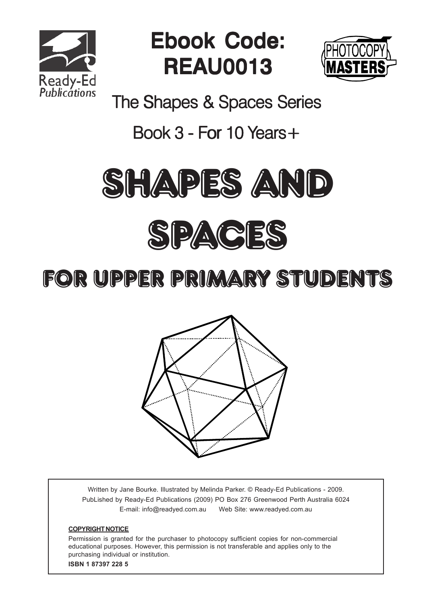

Ebook Code: REAU0013



The Shapes & Spaces Series

#### Book  $3$  - For 10 Years +



#### for UPPER Primary Students



Written by Jane Bourke. Illustrated by Melinda Parker. © Ready-Ed Publications - 2009. PubLished by Ready-Ed Publications (2009) PO Box 276 Greenwood Perth Australia 6024 E-mail: info@readyed.com.au Web Site: www.readyed.com.au

#### **COPYRIGHT NOTICE**

Permission is granted for the purchaser to photocopy sufficient copies for non-commercial educational purposes. However, this permission is not transferable and applies only to the purchasing individual or institution. **ISBN 1 87397 228 5**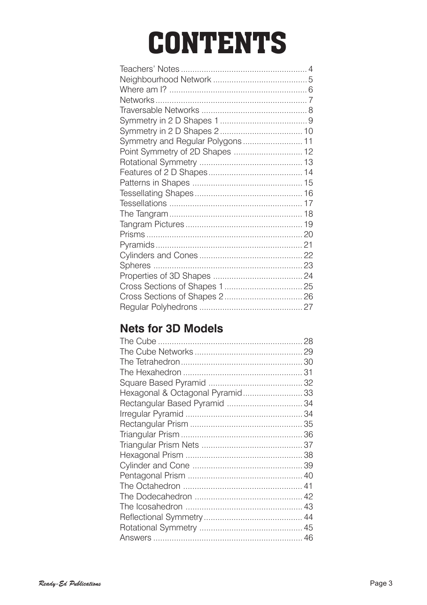# **CONTENTS**

| Symmetry and Regular Polygons 11 |  |
|----------------------------------|--|
| Point Symmetry of 2D Shapes  12  |  |
|                                  |  |
|                                  |  |
|                                  |  |
|                                  |  |
|                                  |  |
|                                  |  |
|                                  |  |
|                                  |  |
|                                  |  |
|                                  |  |
|                                  |  |
|                                  |  |
|                                  |  |
|                                  |  |
|                                  |  |
|                                  |  |

#### **Nets for 3D Models**

| Hexagonal & Octagonal Pyramid 33 |  |
|----------------------------------|--|
|                                  |  |
|                                  |  |
|                                  |  |
|                                  |  |
|                                  |  |
|                                  |  |
|                                  |  |
|                                  |  |
|                                  |  |
|                                  |  |
|                                  |  |
|                                  |  |
|                                  |  |
|                                  |  |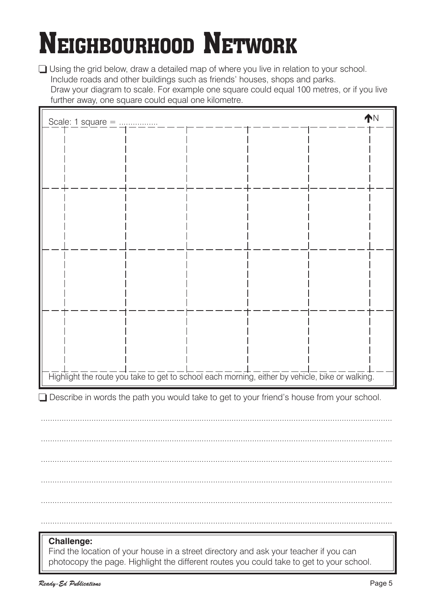# NEIGHBOURHOOD NETWORK

 $\Box$  Using the grid below, draw a detailed map of where you live in relation to your school. Include roads and other buildings such as friends' houses, shops and parks. Draw your diagram to scale. For example one square could equal 100 metres, or if you live further away, one square could equal one kilometre.

| Highlight the route you take to get to school each morning, either by vehicle, bike or walking.            |  |  |  |  |  |  |
|------------------------------------------------------------------------------------------------------------|--|--|--|--|--|--|
| $\Box$ Describe in words the path you would take to get to your friend's house from your school.           |  |  |  |  |  |  |
|                                                                                                            |  |  |  |  |  |  |
|                                                                                                            |  |  |  |  |  |  |
|                                                                                                            |  |  |  |  |  |  |
|                                                                                                            |  |  |  |  |  |  |
|                                                                                                            |  |  |  |  |  |  |
|                                                                                                            |  |  |  |  |  |  |
|                                                                                                            |  |  |  |  |  |  |
|                                                                                                            |  |  |  |  |  |  |
| <b>Challenge:</b><br>Find the location of your house in a street directory and ask your teacher if you can |  |  |  |  |  |  |

Find the location of your house in a street directory and ask your teacher if you can photocopy the page. Highlight the different routes you could take to get to your school.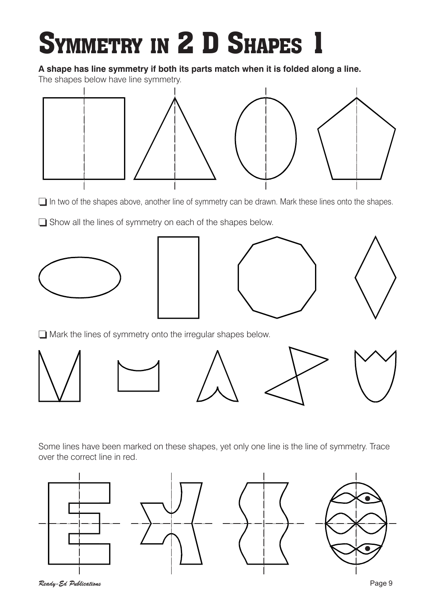# SYMMETRY IN 2 D SHAPES 1

#### **A shape has line symmetry if both its parts match when it is folded along a line.**

The shapes below have line symmetry.



 $\Box$  In two of the shapes above, another line of symmetry can be drawn. Mark these lines onto the shapes.

 $\Box$  Show all the lines of symmetry on each of the shapes below.







 $\Box$  Mark the lines of symmetry onto the irregular shapes below.



Some lines have been marked on these shapes, yet only one line is the line of symmetry. Trace over the correct line in red.

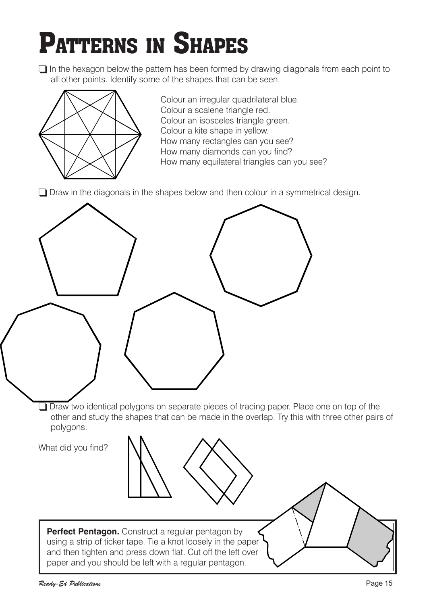### PATTERNS IN SHAPES

 $\Box$  In the hexagon below the pattern has been formed by drawing diagonals from each point to all other points. Identify some of the shapes that can be seen.



Colour an irregular quadrilateral blue. Colour a scalene triangle red. Colour an isosceles triangle green. Colour a kite shape in yellow. How many rectangles can you see? How many diamonds can you find? How many equilateral triangles can you see?

 $\Box$  Draw in the diagonals in the shapes below and then colour in a symmetrical design.

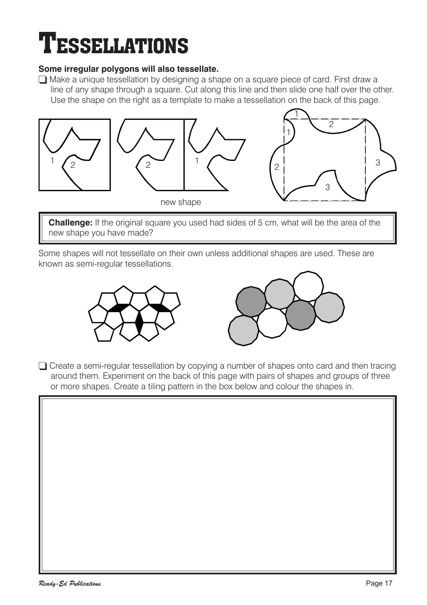### **TESSELLATIONS**

#### **Some irregular polygons will also tessellate.**

 $\Box$  Make a unique tessellation by designing a shape on a square piece of card. First draw a line of any shape through a square. Cut along this line and then slide one half over the other. Use the shape on the right as a template to make a tessellation on the back of this page.



**Challenge:** If the original square you used had sides of 5 cm, what will be the area of the new shape you have made?

Some shapes will not tessellate on their own unless additional shapes are used. These are known as semi-regular tessellations.





 $\Box$  Create a semi-regular tessellation by copying a number of shapes onto card and then tracing around them. Experiment on the back of this page with pairs of shapes and groups of three or more shapes. Create a tiling pattern in the box below and colour the shapes in.